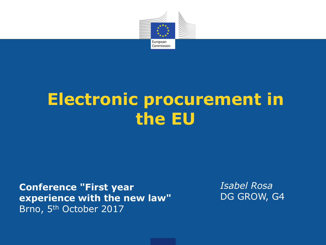

## **Electronic procurement in the EU**

**Conference "First year experience with the new law"**  Brno, 5th October 2017

*Isabel Rosa* DG GROW, G4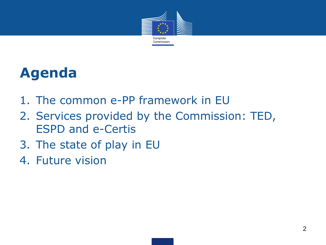

#### **Agenda**

- 1. The common e-PP framework in EU
- 2. Services provided by the Commission: TED, ESPD and e-Certis
- 3. The state of play in EU
- 4. Future vision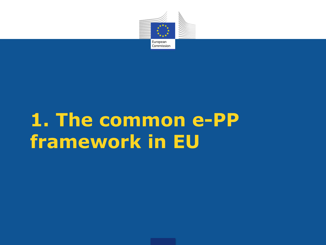

## **1. The common e-PP framework in EU**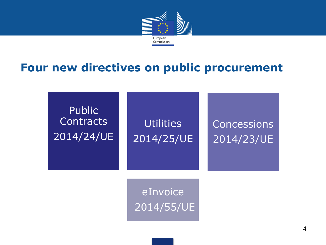

#### **Four new directives on public procurement**

**Public Contracts** 2014/24/UE

Utilities 2014/25/UE **Concessions** 2014/23/UE

eInvoice 2014/55/UE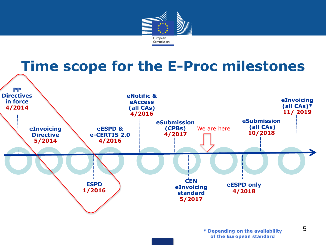

#### **Time scope for the E-Proc milestones**

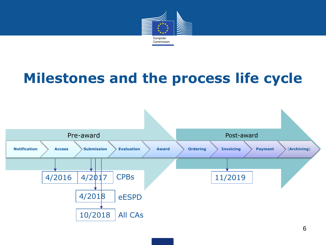

## **Milestones and the process life cycle**



6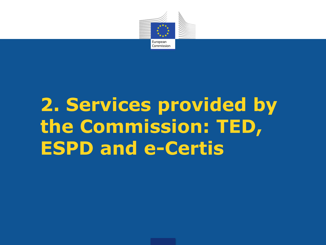

# **2. Services provided by the Commission: TED, ESPD and e-Certis**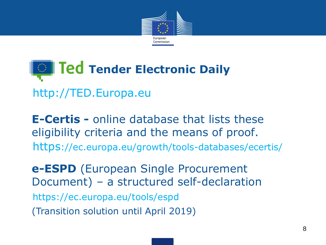



**E-Certis -** online database that lists these eligibility criteria and the means of proof. https://ec.europa.eu/growth/tools-databases/ecertis/

**e-ESPD** (European Single Procurement Document) – a structured self-declaration https://ec.europa.eu/tools/espd (Transition solution until April 2019)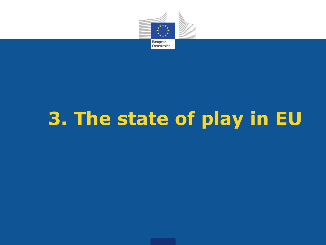

# **3. The state of play in EU**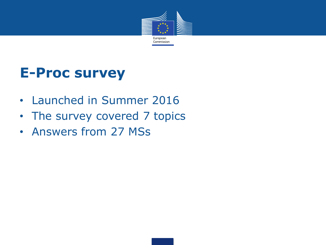

#### **E-Proc survey**

- Launched in Summer 2016
- The survey covered 7 topics
- Answers from 27 MSs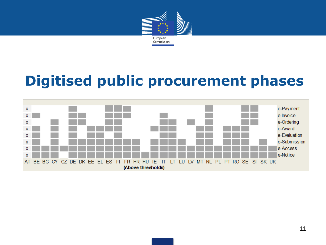

## **Digitised public procurement phases**

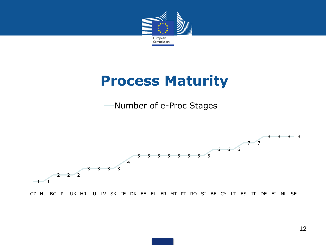

#### **Process Maturity**

Number of e-Proc Stages



CZ HU BG PL UK HR LU LV SK IE DK EE EL FR MT PT RO SI BE CY LT ES IT DE FI NL SE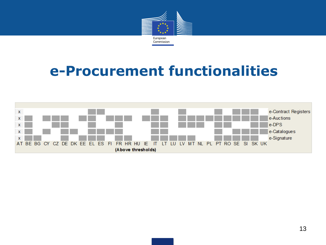

#### **e-Procurement functionalities**

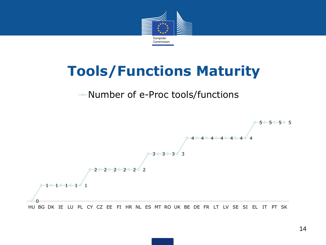

#### **Tools/Functions Maturity**

#### Number of e-Proc tools/functions

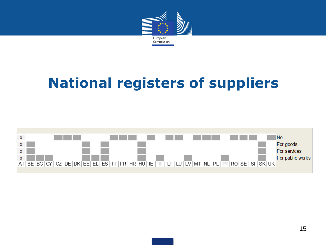

## **National registers of suppliers**

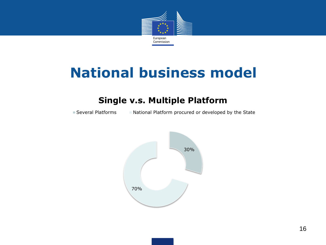

#### **National business model**

#### **Single v.s. Multiple Platform**

■ Several Platforms <br>
■ National Platforms National Platform procured or developed by the State

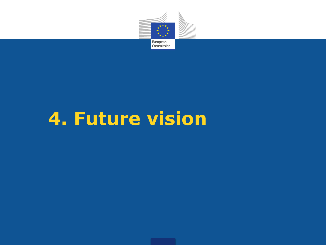

## **4. Future vision**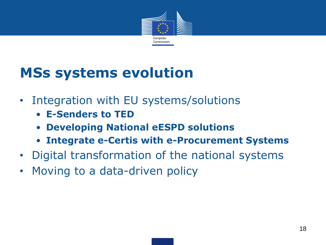

### **MSs systems evolution**

- Integration with EU systems/solutions
	- **E-Senders to TED**
	- **Developing National eESPD solutions**
	- **Integrate e-Certis with e-Procurement Systems**
- Digital transformation of the national systems
- Moving to a data-driven policy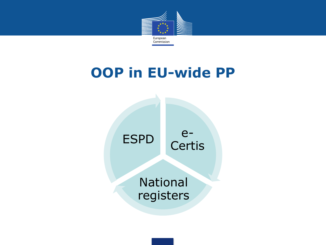

#### **OOP in EU-wide PP**



National registers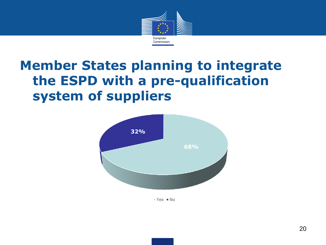

#### **Member States planning to integrate the ESPD with a pre-qualification system of suppliers**



 $Yes = No$